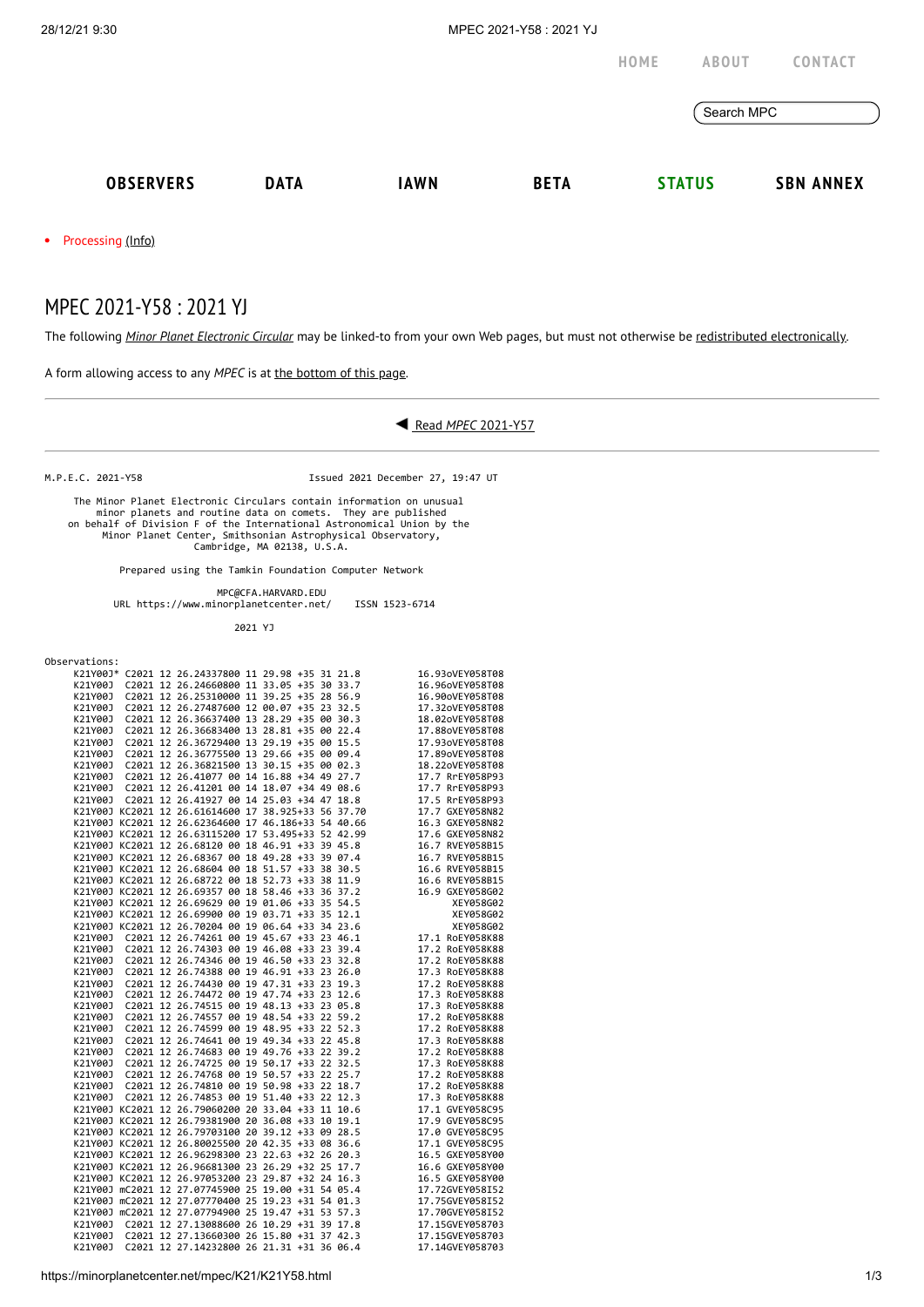|                                                                                                                 |             |             |             | HOME | <b>ABOUT</b>  | CONTACT          |  |
|-----------------------------------------------------------------------------------------------------------------|-------------|-------------|-------------|------|---------------|------------------|--|
|                                                                                                                 |             |             |             |      | Search MPC    |                  |  |
| <b>OBSERVERS</b>                                                                                                | <b>DATA</b> | <b>IAWN</b> | <b>BETA</b> |      | <b>STATUS</b> | <b>SBN ANNEX</b> |  |
| the contract of the contract of the contract of the contract of the contract of the contract of the contract of |             |             |             |      |               |                  |  |

• Processing [\(Info\)](https://minorplanetcenter.net/iau/info/MPCOpStatus.html)

## MPEC 2021-Y58 : 2021 YJ

The following *Minor Planet [Electronic](https://minorplanetcenter.net/iau/services/MPEC.html) Circular* may be linked-to from your own Web pages, but must not otherwise be redistributed [electronically](https://minorplanetcenter.net/iau/WWWPolicy.html).

A form allowing access to any *MPEC* is at the [bottom](https://minorplanetcenter.net/mpec/K19/K21Y58.html#form) of this page.

## Read *MPEC* [2021-Y57](https://minorplanetcenter.net/mpec/K21/K21Y57.html)

M.P.E.C. 2021-Y58 Issued 2021 December 27, 19:47 UT

 The Minor Planet Electronic Circulars contain information on unusual minor planets and routine data on comets. They are published<br>on behalf of Division F of the International Astronomical Union by the<br>Minor Planet Center, Smithsonian Astrophysical Observatory,<br>Cambridge, MA 02138, U.S.A.

Prepared using the Tamkin Foundation Computer Network

MPC@CFA.HARVARD.EDU

URL https://www.minorplanetcenter.net/ ISSN 1523-6714

2021 YJ

| Observations: |  |
|---------------|--|
|---------------|--|

|         |  | K21Y00J* C2021 12 26.24337800 11 29.98 +35 31 21.8  |  |  |  | 16.93oVEY058T08 |
|---------|--|-----------------------------------------------------|--|--|--|-----------------|
| K21Y00J |  | C2021 12 26.24660800 11 33.05 +35 30 33.7           |  |  |  | 16.96oVEY058T08 |
| K21Y00J |  | C2021 12 26.25310000 11 39.25 +35 28 56.9           |  |  |  | 16.90oVEY058T08 |
| K21Y00J |  | C2021 12 26.27487600 12 00.07 +35 23 32.5           |  |  |  | 17.32oVEY058T08 |
| K21Y00J |  | C2021 12 26.36637400 13 28.29 +35 00 30.3           |  |  |  | 18.02oVEY058T08 |
| K21Y00J |  | C2021 12 26.36683400 13 28.81 +35 00 22.4           |  |  |  | 17.88oVEY058T08 |
| K21Y00J |  | C2021 12 26.36729400 13 29.19 +35 00 15.5           |  |  |  | 17.93oVEY058T08 |
| K21Y00J |  | C2021 12 26.36775500 13 29.66 +35 00 09.4           |  |  |  | 17.89oVEY058T08 |
| K21Y00J |  | C2021 12 26.36821500 13 30.15 +35 00 02.3           |  |  |  | 18.22oVEY058T08 |
| K21Y00J |  | C2021 12 26.41077 00 14 16.88 +34 49 27.7           |  |  |  | 17.7 RrEY058P93 |
|         |  | K21Y00J C2021 12 26.41201 00 14 18.07 +34 49 08.6   |  |  |  | 17.7 RrEY058P93 |
|         |  | K21Y00J C2021 12 26.41927 00 14 25.03 +34 47 18.8   |  |  |  | 17.5 RrEY058P93 |
|         |  | K21Y00J KC2021 12 26.61614600 17 38.925+33 56 37.70 |  |  |  | 17.7 GXEY058N82 |
|         |  | K21Y00J KC2021 12 26.62364600 17 46.186+33 54 40.66 |  |  |  | 16.3 GXEY058N82 |
|         |  | K21Y00J KC2021 12 26.63115200 17 53.495+33 52 42.99 |  |  |  | 17.6 GXEY058N82 |
|         |  | K21Y00J KC2021 12 26.68120 00 18 46.91 +33 39 45.8  |  |  |  | 16.7 RVEY058B15 |
|         |  | K21Y00J KC2021 12 26.68367 00 18 49.28 +33 39 07.4  |  |  |  | 16.7 RVEY058B15 |
|         |  | K21Y00J KC2021 12 26.68604 00 18 51.57 +33 38 30.5  |  |  |  | 16.6 RVEY058B15 |
|         |  | K21Y00J KC2021 12 26.68722 00 18 52.73 +33 38 11.9  |  |  |  | 16.6 RVEY058B15 |
|         |  | K21Y00J KC2021 12 26.69357 00 18 58.46 +33 36 37.2  |  |  |  | 16.9 GXEY058G02 |
|         |  | K21Y00J KC2021 12 26.69629 00 19 01.06 +33 35 54.5  |  |  |  | XEY058G02       |
|         |  | K21Y00J KC2021 12 26.69900 00 19 03.71 +33 35 12.1  |  |  |  | XEY058G02       |
|         |  | K21Y00J KC2021 12 26.70204 00 19 06.64 +33 34 23.6  |  |  |  | XEY058G02       |
| K21Y00J |  | C2021 12 26.74261 00 19 45.67 +33 23 46.1           |  |  |  | 17.1 RoEY058K88 |
| K21Y00J |  | C2021 12 26.74303 00 19 46.08 +33 23 39.4           |  |  |  | 17.2 RoEY058K88 |
| K21Y00J |  | C2021 12 26.74346 00 19 46.50 +33 23 32.8           |  |  |  | 17.2 RoEY058K88 |
| K21Y00J |  | C2021 12 26.74388 00 19 46.91 +33 23 26.0           |  |  |  | 17.3 RoEY058K88 |
| K21Y00J |  | C2021 12 26.74430 00 19 47.31 +33 23 19.3           |  |  |  | 17.2 RoEY058K88 |
| K21Y00J |  | C2021 12 26.74472 00 19 47.74 +33 23 12.6           |  |  |  | 17.3 RoEY058K88 |
| K21Y00J |  | C2021 12 26.74515 00 19 48.13 +33 23 05.8           |  |  |  | 17.3 RoEY058K88 |
| K21Y00J |  | C2021 12 26.74557 00 19 48.54 +33 22 59.2           |  |  |  | 17.2 RoEY058K88 |
| K21Y00J |  | C2021 12 26.74599 00 19 48.95 +33 22 52.3           |  |  |  | 17.2 RoEY058K88 |
| K21Y00J |  | C2021 12 26.74641 00 19 49.34 +33 22 45.8           |  |  |  | 17.3 RoEY058K88 |
| K21Y00J |  | C2021 12 26.74683 00 19 49.76 +33 22 39.2           |  |  |  | 17.2 RoEY058K88 |
| K21Y00J |  | C2021 12 26.74725 00 19 50.17 +33 22 32.5           |  |  |  | 17.3 RoEY058K88 |
| K21Y00J |  | C2021 12 26.74768 00 19 50.57 +33 22 25.7           |  |  |  | 17.2 RoEY058K88 |
| K21Y00J |  | C2021 12 26.74810 00 19 50.98 +33 22 18.7           |  |  |  | 17.2 RoEY058K88 |
| K21Y00J |  | C2021 12 26.74853 00 19 51.40 +33 22 12.3           |  |  |  | 17.3 RoEY058K88 |
|         |  | K21Y00J KC2021 12 26.79060200 20 33.04 +33 11 10.6  |  |  |  | 17.1 GVEY058C95 |
|         |  | K21Y00J KC2021 12 26.79381900 20 36.08 +33 10 19.1  |  |  |  | 17.9 GVEY058C95 |
|         |  | K21Y00J KC2021 12 26.79703100 20 39.12 +33 09 28.5  |  |  |  | 17.0 GVEY058C95 |
|         |  | K21Y00J KC2021 12 26.80025500 20 42.35 +33 08 36.6  |  |  |  | 17.1 GVEY058C95 |
|         |  | K21Y00J KC2021 12 26.96298300 23 22.63 +32 26 20.3  |  |  |  | 16.5 GXEY058Y00 |
|         |  | K21Y00J KC2021 12 26.96681300 23 26.29 +32 25 17.7  |  |  |  | 16.6 GXEY058Y00 |
|         |  | K21Y00J KC2021 12 26.97053200 23 29.87 +32 24 16.3  |  |  |  | 16.5 GXEY058Y00 |
|         |  | K21Y00J mC2021 12 27.07745900 25 19.00 +31 54 05.4  |  |  |  | 17.72GVEY058I52 |
|         |  | K21Y00J mC2021 12 27.07770400 25 19.23 +31 54 01.3  |  |  |  | 17.75GVEY058I52 |
|         |  | K21Y00J mC2021 12 27.07794900 25 19.47 +31 53 57.3  |  |  |  | 17.70GVEY058I52 |
|         |  | K21Y00J C2021 12 27.13088600 26 10.29 +31 39 17.8   |  |  |  | 17.15GVEY058703 |
| K21Y00J |  | C2021 12 27.13660300 26 15.80 +31 37 42.3           |  |  |  | 17.15GVEY058703 |
| K21Y00J |  | C2021 12 27.14232800 26 21.31 +31 36 06.4           |  |  |  | 17.14GVEY058703 |

 $\big)$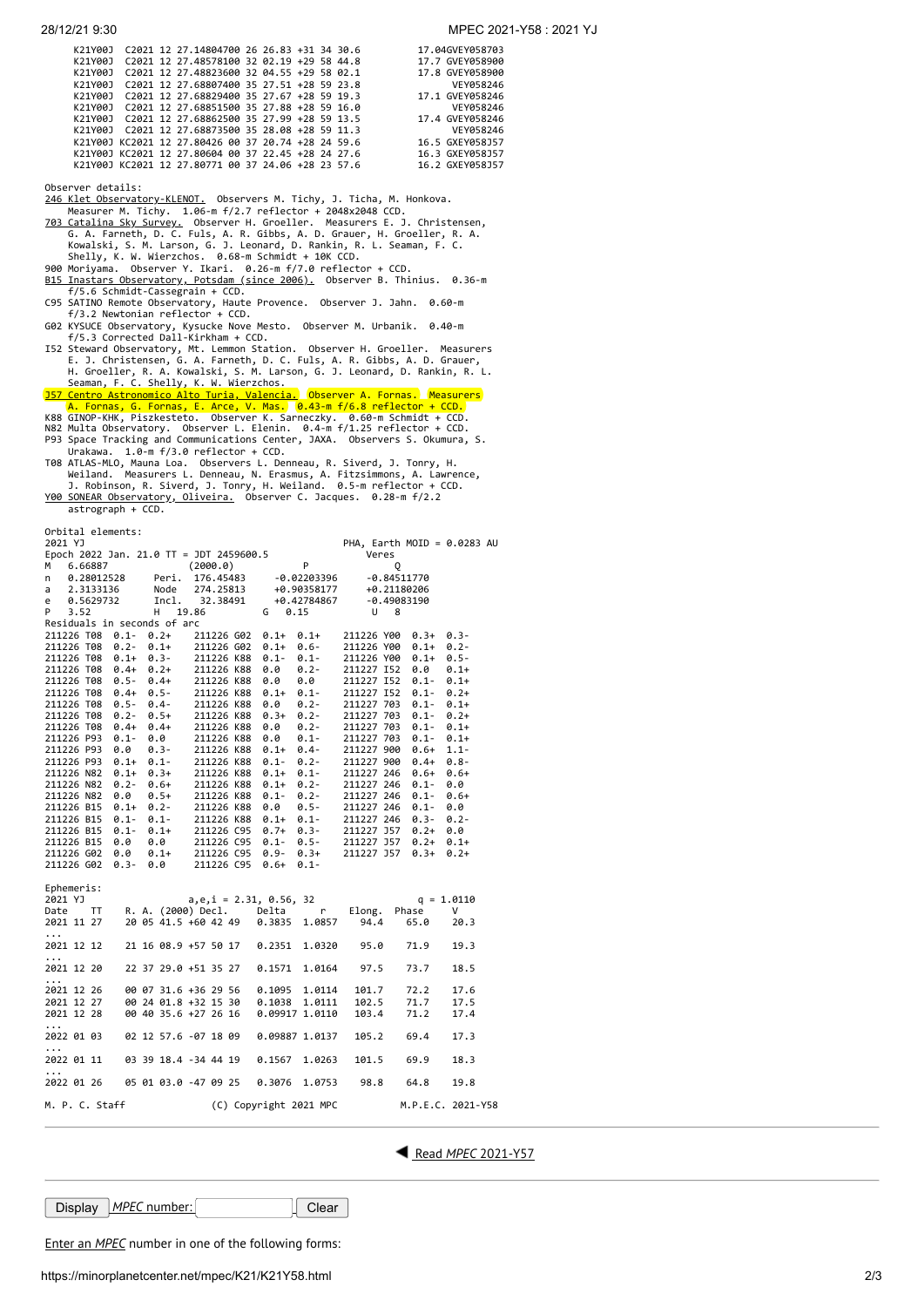| K21Y001 |  | C2021 12 27.14804700 26 26.83 +31 34 30.6          |  |  | 17.04GVEY058703 |
|---------|--|----------------------------------------------------|--|--|-----------------|
| K21Y001 |  | C2021 12 27.48578100 32 02.19 +29 58 44.8          |  |  | 17.7 GVEY058900 |
| K21Y001 |  | C2021 12 27.48823600 32 04.55 +29 58 02.1          |  |  | 17.8 GVEY058900 |
| K21Y001 |  | C2021 12 27.68807400 35 27.51 +28 59 23.8          |  |  | VEY058246       |
| K21Y001 |  | C2021 12 27.68829400 35 27.67 +28 59 19.3          |  |  | 17.1 GVEY058246 |
| K21Y001 |  | C2021 12 27.68851500 35 27.88 +28 59 16.0          |  |  | VEY058246       |
| K21Y001 |  | C2021 12 27.68862500 35 27.99 +28 59 13.5          |  |  | 17.4 GVEY058246 |
| K21Y001 |  | C2021 12 27.68873500 35 28.08 +28 59 11.3          |  |  | VEY058246       |
|         |  | K21Y00J KC2021 12 27.80426 00 37 20.74 +28 24 59.6 |  |  | 16.5 GXEY058J57 |
|         |  | K21Y00J KC2021 12 27.80604 00 37 22.45 +28 24 27.6 |  |  | 16.3 GXEY058J57 |
|         |  | K21Y00J KC2021 12 27.80771 00 37 24.06 +28 23 57.6 |  |  | 16.2 GXEY058J57 |
|         |  |                                                    |  |  |                 |

Observer details:

[246 Klet Observatory-KLENOT.](http://www.klet.org/) Observers M. Tichy, J. Ticha, M. Honkova.<br>Measurer M. Tichy. 1.06-m f/2.7 reflector + 2048x2048 CCD.<br><u>703 Catalina Sky Survey.</u> Observer H. Groeller. Measurers E. J. Christensen,<br>G. A. Farneth,

900 Moriyama. Observer Y. Ikari. 0.26-m f/7.0 reflector + CCD.<br><u>B15 Inastars Observatory, Potsdam (since 2006).</u> Observer B. Thinius. 0.36-m<br>f/5.6 Schmidt-Cassegrain + CCD.

C95 SATINO Remote Observatory, Haute Provence. Observer J. Jahn. 0.60-m f/3.2 Newtonian reflector + CCD.

G02 KYSUCE Observatory, Kysucke Nove Mesto. Observer M. Urbanik. 0.40-m f/5.3 Corrected Dall-Kirkham + CCD.

I52 Steward Observatory, Mt. Lemmon Station. Observer H. Groeller. Measurers<br>E. J. Christensen, G. A. Farneth, D. C. Fuls, A. R. Gibbs, A. D. Grauer,<br>H. Groeller, R. A. Kowalski, S. M. Larson, G. J. Leonard, D. Rankin, R.

Urakawa. 1.0-m f/3.0 reflector + CCD.<br>TOR ATLAS-MLO, Mauna Loa. Observers L. Denneau, R. Siverd, J. Tonry, H.<br>Weiland. Measurers L. Denneau, N. Erasmus, A. Fitzsimmons, A. Lawrence,<br>J. Robinson, R. Siverd, J. Tonry, H. Wei astrograph + CCD.

Orbital elements:

| 2021 YJ                                                                                                                                                                                                                      |                                   |   |                                                                                                                      |                                                                     |         | PHA, Earth MOID = $0.0283$ AU |  |  |  |
|------------------------------------------------------------------------------------------------------------------------------------------------------------------------------------------------------------------------------|-----------------------------------|---|----------------------------------------------------------------------------------------------------------------------|---------------------------------------------------------------------|---------|-------------------------------|--|--|--|
| Epoch 2022 Jan. 21.0 TT = JDT 2459600.5<br>Veres                                                                                                                                                                             |                                   |   |                                                                                                                      |                                                                     |         |                               |  |  |  |
| 6.66887<br>м                                                                                                                                                                                                                 | (2000.0)                          | P | Q                                                                                                                    |                                                                     |         |                               |  |  |  |
| n                                                                                                                                                                                                                            |                                   |   |                                                                                                                      |                                                                     |         |                               |  |  |  |
| a                                                                                                                                                                                                                            |                                   |   | $0.28012528$ Peri. 176.45483 -0.02203396 -0.84511770<br>2.3133136 Node 274.25813 +0.90358177 +0.21180206             |                                                                     |         |                               |  |  |  |
| 0.5629732<br>e                                                                                                                                                                                                               |                                   |   | Incl. 32.38491 +0.42784867                                                                                           | -0.49083190                                                         |         |                               |  |  |  |
| P.<br>3.52                                                                                                                                                                                                                   | H 19.86                           |   | $G \t 0.15$                                                                                                          | U 8                                                                 |         |                               |  |  |  |
| Residuals in seconds of arc                                                                                                                                                                                                  |                                   |   |                                                                                                                      |                                                                     |         |                               |  |  |  |
| 211226 T08 0.1- 0.2+ 211226 G02 0.1+ 0.1+ 211226 Y00 0.3+                                                                                                                                                                    |                                   |   |                                                                                                                      |                                                                     |         | $0.3 -$                       |  |  |  |
|                                                                                                                                                                                                                              |                                   |   |                                                                                                                      |                                                                     | $0.1+$  | $0.2 -$                       |  |  |  |
| 211226 T08 0.2- 0.1+ 211226 G02 0.1+ 0.6- 211226 Y00<br>211226 T08 0.1+ 0.3- 211226 K88 0.1- 0.1- 211226 Y00                                                                                                                 |                                   |   |                                                                                                                      |                                                                     | $0.1+$  | $0.5 -$                       |  |  |  |
|                                                                                                                                                                                                                              |                                   |   | $0.2 -$<br>0.0                                                                                                       | 211227 I52                                                          | 0.0     | $0.1+$                        |  |  |  |
| 211226 T08 0.4+ 0.2+ 211226 K88<br>211226 T08 0.5- 0.4+ 211226 K88                                                                                                                                                           |                                   |   | 0.0                                                                                                                  | 211227 I52 0.1-                                                     |         |                               |  |  |  |
|                                                                                                                                                                                                                              |                                   |   | 0.0                                                                                                                  |                                                                     |         | $0.1+$                        |  |  |  |
| 211226 T08 0.4+ 0.5-<br>211226 T08 0.5- 0.4- 211226 K88                                                                                                                                                                      |                                   |   | $\begin{array}{cccc} 0.1+& 0.1- & 211227 & 152 & 0.1- & 0.2+ \\ 0.0 & 0.2- & 211227 & 703 & 0.1- & 0.1+ \end{array}$ |                                                                     |         |                               |  |  |  |
|                                                                                                                                                                                                                              |                                   |   |                                                                                                                      |                                                                     |         |                               |  |  |  |
| 211226 T08 0.2- 0.5+ 211226 K88<br>211226 T08 0.4+ 0.4+ 211226 K88                                                                                                                                                           |                                   |   | $0.3+$                                                                                                               | 0.2-211227 703 0.1-<br>0.2-211227 703 0.1-<br>2022 703 0.1-         |         | $0.2 +$                       |  |  |  |
|                                                                                                                                                                                                                              |                                   |   | 0.0                                                                                                                  |                                                                     |         | $0.1 +$                       |  |  |  |
| 211226 P93 0.1-                                                                                                                                                                                                              | 0.0 211226 K88<br>0.3- 211226 K88 |   | $0.0$ $0.1$ -<br>0.1+ 0.4-                                                                                           | 211227 703                                                          | $0.1 -$ | $0.1+$                        |  |  |  |
| 211226 P93 0.0                                                                                                                                                                                                               |                                   |   |                                                                                                                      | 211227 900                                                          | $0.6+$  | $1.1 -$                       |  |  |  |
| 211226 P93 0.1+ 0.1- 211226 K88<br>211226 N82 0.1+ 0.3+ 211226 K88                                                                                                                                                           |                                   |   | 0.1- 0.2- 211227 900<br>0.1+ 0.1- 211227 246                                                                         |                                                                     | $0.4 +$ | $0.8 -$                       |  |  |  |
|                                                                                                                                                                                                                              |                                   |   |                                                                                                                      |                                                                     | $0.6+$  | $0.6+$                        |  |  |  |
| 211226 N82 0.2- 0.6+ 211226 K88<br>211226 N82 0.0 0.5+ 211226 K88                                                                                                                                                            |                                   |   | $0.1 + 0.2 -$                                                                                                        | 211227 246 0.1-<br>0.2-<br>0.2-<br>211227 246<br>0.5-<br>211227 246 |         | 0.0                           |  |  |  |
|                                                                                                                                                                                                                              |                                   |   | $0.1 -$                                                                                                              |                                                                     | $0.1 -$ | $0.6+$                        |  |  |  |
|                                                                                                                                                                                                                              |                                   |   |                                                                                                                      |                                                                     | $0.1 -$ | 0.0                           |  |  |  |
| 211226 B15 0.1+ 0.2-<br>211226 B15 0.1- 0.1- 211226 K88 0.1+<br>211226 B15 0.1- 0.1- 211226 K88 0.1+                                                                                                                         |                                   |   | $0.1+ 0.1- 211227246$                                                                                                |                                                                     | $0.3 -$ | $0.2 -$                       |  |  |  |
|                                                                                                                                                                                                                              |                                   |   |                                                                                                                      |                                                                     |         | 0.0                           |  |  |  |
| 211226 B15 0.1- 0.1+ 211226 C95 0.7+ 0.3- 211227 J57 0.2+<br>211226 B15 0.0 0.0 211226 C95 0.1- 0.5- 211227 J57 0.2+<br>211226 G02 0.0 0.1+ 211226 C95 0.9- 0.3+ 211227 J57 0.3+<br>211226 G02 0.3- 0.0 211226 C95 0.6+ 0.1- |                                   |   |                                                                                                                      |                                                                     |         | $0.1 +$                       |  |  |  |
|                                                                                                                                                                                                                              |                                   |   |                                                                                                                      |                                                                     |         | $0.2 +$                       |  |  |  |
|                                                                                                                                                                                                                              |                                   |   |                                                                                                                      |                                                                     |         |                               |  |  |  |
|                                                                                                                                                                                                                              |                                   |   |                                                                                                                      |                                                                     |         |                               |  |  |  |
| Ephemeris:                                                                                                                                                                                                                   |                                   |   |                                                                                                                      |                                                                     |         |                               |  |  |  |
| 2021 YJ                                                                                                                                                                                                                      |                                   |   | $a, e, i = 2.31, 0.56, 32$                                                                                           |                                                                     |         | $q = 1.0110$                  |  |  |  |
| Date                                                                                                                                                                                                                         |                                   |   | TT R.A. (2000) Decl. Delta r                                                                                         | Elong.                                                              | Phase   | V                             |  |  |  |
| 2021 11 27                                                                                                                                                                                                                   |                                   |   | 20 05 41.5 +60 42 49  0.3835  1.0857  94.4                                                                           |                                                                     | 65.0    | 20.3                          |  |  |  |
|                                                                                                                                                                                                                              |                                   |   |                                                                                                                      |                                                                     |         |                               |  |  |  |
| $\cdots$                                                                                                                                                                                                                     |                                   |   |                                                                                                                      |                                                                     |         |                               |  |  |  |
| 2021 12 12                                                                                                                                                                                                                   | 21 16 08.9 +57 50 17              |   | 0.2351 1.0320                                                                                                        | 95.0                                                                | 71.9    | 19.3                          |  |  |  |
| $\cdots$                                                                                                                                                                                                                     |                                   |   |                                                                                                                      |                                                                     |         |                               |  |  |  |
| 2021 12 20                                                                                                                                                                                                                   | 22 37 29.0 +51 35 27              |   | 0.1571 1.0164 97.5                                                                                                   |                                                                     | 73.7    | 18.5                          |  |  |  |
| $\cdots$                                                                                                                                                                                                                     |                                   |   |                                                                                                                      |                                                                     |         |                               |  |  |  |
| 2021 12 26                                                                                                                                                                                                                   |                                   |   | 00 07 31.6 +36 29 56 0.1095 1.0114                                                                                   | 101.7                                                               | 72.2    | 17.6                          |  |  |  |
| 2021 12 27                                                                                                                                                                                                                   | 00 24 01.8 +32 15 30 0.1038       |   | 1.0111                                                                                                               | 102.5                                                               | 71.7    | 17.5                          |  |  |  |
| 2021 12 28                                                                                                                                                                                                                   |                                   |   | 00 40 35.6 +27 26 16 0.09917 1.0110                                                                                  | 103.4                                                               | 71.2    | 17.4                          |  |  |  |
| .                                                                                                                                                                                                                            |                                   |   |                                                                                                                      |                                                                     |         |                               |  |  |  |
| 2022 01 03                                                                                                                                                                                                                   | 02 12 57.6 -07 18 09              |   | 0.09887 1.0137                                                                                                       | 105.2                                                               | 69.4    | 17.3                          |  |  |  |
| $\cdots$                                                                                                                                                                                                                     |                                   |   |                                                                                                                      |                                                                     |         |                               |  |  |  |
| 2022 01 11                                                                                                                                                                                                                   | 03 39 18.4 -34 44 19              |   | 0.1567<br>1.0263                                                                                                     | 101.5                                                               | 69.9    | 18.3                          |  |  |  |
| .                                                                                                                                                                                                                            |                                   |   |                                                                                                                      |                                                                     |         |                               |  |  |  |
|                                                                                                                                                                                                                              |                                   |   |                                                                                                                      |                                                                     | 64.8    | 19.8                          |  |  |  |
|                                                                                                                                                                                                                              |                                   |   |                                                                                                                      |                                                                     |         |                               |  |  |  |
| M. P. C. Staff                                                                                                                                                                                                               |                                   |   | (C) Copyright 2021 MPC                                                                                               |                                                                     |         | M.P.E.C. 2021-Y58             |  |  |  |

Read *MPEC* [2021-Y57](https://minorplanetcenter.net/mpec/K21/K21Y57.html)

**Display** *MPEC* number: Clear

Enter an *[MPEC](https://minorplanetcenter.net/iau/services/MPEC.html)* number in one of the following forms: